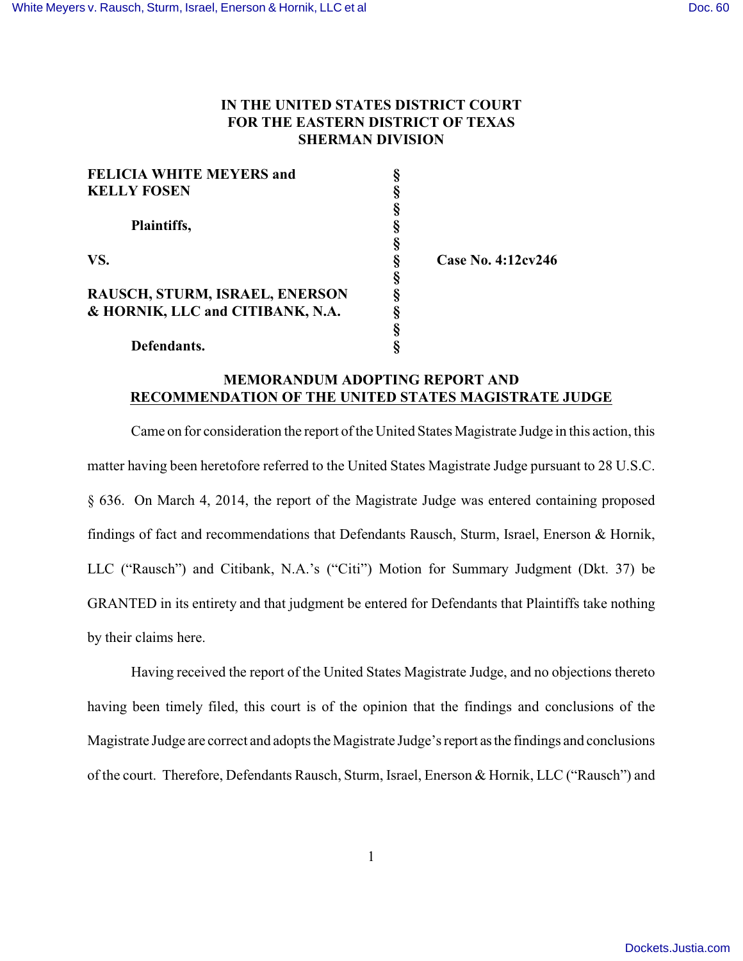## **IN THE UNITED STATES DISTRICT COURT FOR THE EASTERN DISTRICT OF TEXAS SHERMAN DIVISION**

| <b>FELICIA WHITE MEYERS and</b>  |                      |
|----------------------------------|----------------------|
| <b>KELLY FOSEN</b>               |                      |
|                                  |                      |
| Plaintiffs,                      |                      |
|                                  |                      |
| VS.                              | Case No. $4:12cy246$ |
|                                  |                      |
| RAUSCH, STURM, ISRAEL, ENERSON   |                      |
| & HORNIK, LLC and CITIBANK, N.A. |                      |
|                                  |                      |
| Defendants.                      |                      |

## **MEMORANDUM ADOPTING REPORT AND RECOMMENDATION OF THE UNITED STATES MAGISTRATE JUDGE**

Came on for consideration the report of the United States Magistrate Judge in this action, this matter having been heretofore referred to the United States Magistrate Judge pursuant to 28 U.S.C. § 636. On March 4, 2014, the report of the Magistrate Judge was entered containing proposed findings of fact and recommendations that Defendants Rausch, Sturm, Israel, Enerson & Hornik, LLC ("Rausch") and Citibank, N.A.'s ("Citi") Motion for Summary Judgment (Dkt. 37) be GRANTED in its entirety and that judgment be entered for Defendants that Plaintiffs take nothing by their claims here.

Having received the report of the United States Magistrate Judge, and no objections thereto having been timely filed, this court is of the opinion that the findings and conclusions of the Magistrate Judge are correct and adopts the Magistrate Judge's report as the findings and conclusions of the court. Therefore, Defendants Rausch, Sturm, Israel, Enerson & Hornik, LLC ("Rausch") and